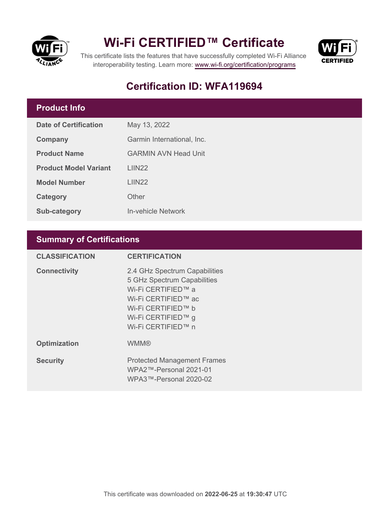

## **Wi-Fi CERTIFIED™ Certificate**



This certificate lists the features that have successfully completed Wi-Fi Alliance interoperability testing. Learn more:<www.wi-fi.org/certification/programs>

### **Certification ID: WFA119694**

#### **Product Info**

| Date of Certification        | May 13, 2022                |  |
|------------------------------|-----------------------------|--|
| <b>Company</b>               | Garmin International, Inc.  |  |
| <b>Product Name</b>          | <b>GARMIN AVN Head Unit</b> |  |
| <b>Product Model Variant</b> | LIIN <sub>22</sub>          |  |
| <b>Model Number</b>          | LIN22                       |  |
| Category                     | Other                       |  |
| Sub-category                 | In-vehicle Network          |  |

#### **Summary of Certifications**

| <b>CLASSIFICATION</b> | <b>CERTIFICATION</b>                                                                                                                                                        |
|-----------------------|-----------------------------------------------------------------------------------------------------------------------------------------------------------------------------|
| <b>Connectivity</b>   | 2.4 GHz Spectrum Capabilities<br>5 GHz Spectrum Capabilities<br>Wi-Fi CERTIFIED™ a<br>Wi-Fi CERTIFIED™ ac<br>Wi-Fi CERTIFIED™ b<br>Wi-Fi CERTIFIED™ g<br>Wi-Fi CERTIFIED™ n |
| <b>Optimization</b>   | <b>WMM®</b>                                                                                                                                                                 |
| <b>Security</b>       | <b>Protected Management Frames</b><br>WPA2™-Personal 2021-01<br>WPA3™-Personal 2020-02                                                                                      |